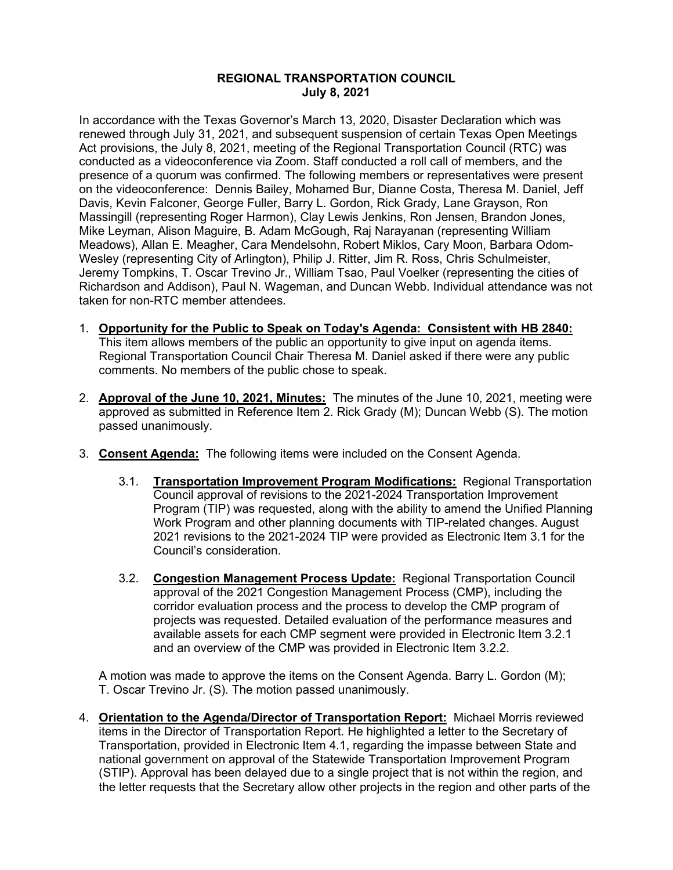## **REGIONAL TRANSPORTATION COUNCIL July 8, 2021**

In accordance with the Texas Governor's March 13, 2020, Disaster Declaration which was renewed through July 31, 2021, and subsequent suspension of certain Texas Open Meetings Act provisions, the July 8, 2021, meeting of the Regional Transportation Council (RTC) was conducted as a videoconference via Zoom. Staff conducted a roll call of members, and the presence of a quorum was confirmed. The following members or representatives were present on the videoconference: Dennis Bailey, Mohamed Bur, Dianne Costa, Theresa M. Daniel, Jeff Davis, Kevin Falconer, George Fuller, Barry L. Gordon, Rick Grady, Lane Grayson, Ron Massingill (representing Roger Harmon), Clay Lewis Jenkins, Ron Jensen, Brandon Jones, Mike Leyman, Alison Maguire, B. Adam McGough, Raj Narayanan (representing William Meadows), Allan E. Meagher, Cara Mendelsohn, Robert Miklos, Cary Moon, Barbara Odom-Wesley (representing City of Arlington), Philip J. Ritter, Jim R. Ross, Chris Schulmeister, Jeremy Tompkins, T. Oscar Trevino Jr., William Tsao, Paul Voelker (representing the cities of Richardson and Addison), Paul N. Wageman, and Duncan Webb. Individual attendance was not taken for non-RTC member attendees.

- 1. **Opportunity for the Public to Speak on Today's Agenda: Consistent with HB 2840:** This item allows members of the public an opportunity to give input on agenda items. Regional Transportation Council Chair Theresa M. Daniel asked if there were any public comments. No members of the public chose to speak.
- 2. **Approval of the June 10, 2021, Minutes:** The minutes of the June 10, 2021, meeting were approved as submitted in Reference Item 2. Rick Grady (M); Duncan Webb (S). The motion passed unanimously.
- 3. **Consent Agenda:** The following items were included on the Consent Agenda.
	- 3.1. **Transportation Improvement Program Modifications:** Regional Transportation Council approval of revisions to the 2021-2024 Transportation Improvement Program (TIP) was requested, along with the ability to amend the Unified Planning Work Program and other planning documents with TIP-related changes. August 2021 revisions to the 2021-2024 TIP were provided as Electronic Item 3.1 for the Council's consideration.
	- 3.2. **Congestion Management Process Update:** Regional Transportation Council approval of the 2021 Congestion Management Process (CMP), including the corridor evaluation process and the process to develop the CMP program of projects was requested. Detailed evaluation of the performance measures and available assets for each CMP segment were provided in Electronic Item 3.2.1 and an overview of the CMP was provided in Electronic Item 3.2.2.

A motion was made to approve the items on the Consent Agenda. Barry L. Gordon (M); T. Oscar Trevino Jr. (S). The motion passed unanimously.

4. **Orientation to the Agenda/Director of Transportation Report:** Michael Morris reviewed items in the Director of Transportation Report. He highlighted a letter to the Secretary of Transportation, provided in Electronic Item 4.1, regarding the impasse between State and national government on approval of the Statewide Transportation Improvement Program (STIP). Approval has been delayed due to a single project that is not within the region, and the letter requests that the Secretary allow other projects in the region and other parts of the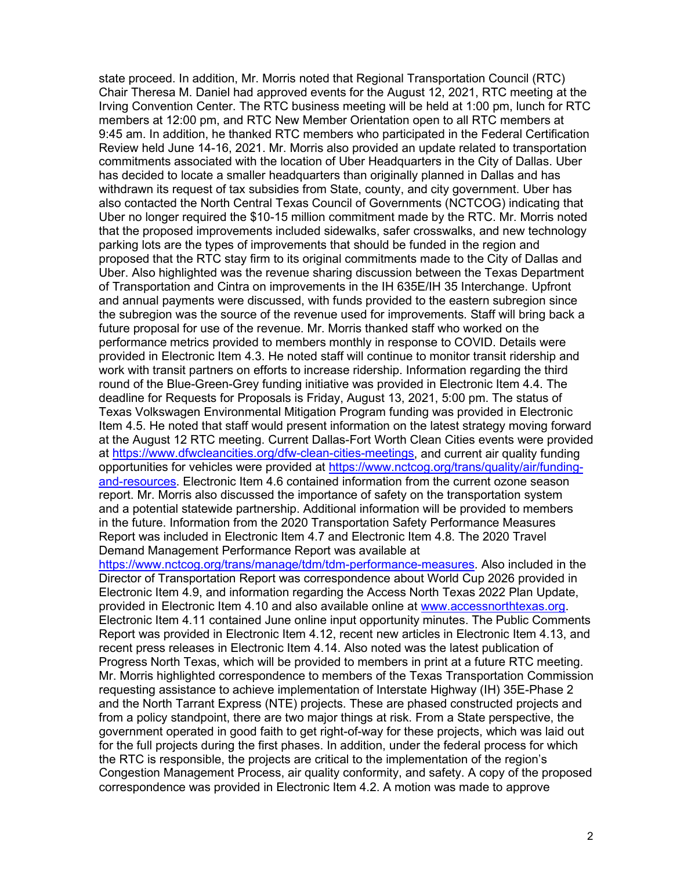state proceed. In addition, Mr. Morris noted that Regional Transportation Council (RTC) Chair Theresa M. Daniel had approved events for the August 12, 2021, RTC meeting at the Irving Convention Center. The RTC business meeting will be held at 1:00 pm, lunch for RTC members at 12:00 pm, and RTC New Member Orientation open to all RTC members at 9:45 am. In addition, he thanked RTC members who participated in the Federal Certification Review held June 14-16, 2021. Mr. Morris also provided an update related to transportation commitments associated with the location of Uber Headquarters in the City of Dallas. Uber has decided to locate a smaller headquarters than originally planned in Dallas and has withdrawn its request of tax subsidies from State, county, and city government. Uber has also contacted the North Central Texas Council of Governments (NCTCOG) indicating that Uber no longer required the \$10-15 million commitment made by the RTC. Mr. Morris noted that the proposed improvements included sidewalks, safer crosswalks, and new technology parking lots are the types of improvements that should be funded in the region and proposed that the RTC stay firm to its original commitments made to the City of Dallas and Uber. Also highlighted was the revenue sharing discussion between the Texas Department of Transportation and Cintra on improvements in the IH 635E/IH 35 Interchange. Upfront and annual payments were discussed, with funds provided to the eastern subregion since the subregion was the source of the revenue used for improvements. Staff will bring back a future proposal for use of the revenue. Mr. Morris thanked staff who worked on the performance metrics provided to members monthly in response to COVID. Details were provided in Electronic Item 4.3. He noted staff will continue to monitor transit ridership and work with transit partners on efforts to increase ridership. Information regarding the third round of the Blue-Green-Grey funding initiative was provided in Electronic Item 4.4. The deadline for Requests for Proposals is Friday, August 13, 2021, 5:00 pm. The status of Texas Volkswagen Environmental Mitigation Program funding was provided in Electronic Item 4.5. He noted that staff would present information on the latest strategy moving forward at the August 12 RTC meeting. Current Dallas-Fort Worth Clean Cities events were provided at [https://www.dfwcleancities.org/dfw-clean-cities-meetings,](https://www.dfwcleancities.org/dfw-clean-cities-meetings) and current air quality funding opportunities for vehicles were provided at [https://www.nctcog.org/trans/quality/air/funding](https://www.nctcog.org/trans/quality/air/funding-and-resources)[and-resources.](https://www.nctcog.org/trans/quality/air/funding-and-resources) Electronic Item 4.6 contained information from the current ozone season report. Mr. Morris also discussed the importance of safety on the transportation system and a potential statewide partnership. Additional information will be provided to members in the future. Information from the 2020 Transportation Safety Performance Measures Report was included in Electronic Item 4.7 and Electronic Item 4.8. The 2020 Travel Demand Management Performance Report was available at [https://www.nctcog.org/trans/manage/tdm/tdm-performance-measures.](https://www.nctcog.org/trans/manage/tdm/tdm-performance-measures) Also included in the Director of Transportation Report was correspondence about World Cup 2026 provided in Electronic Item 4.9, and information regarding the Access North Texas 2022 Plan Update, provided in Electronic Item 4.10 and also available online at [www.accessnorthtexas.org.](http://www.accessnorthtexas.org/) Electronic Item 4.11 contained June online input opportunity minutes. The Public Comments Report was provided in Electronic Item 4.12, recent new articles in Electronic Item 4.13, and recent press releases in Electronic Item 4.14. Also noted was the latest publication of

Progress North Texas, which will be provided to members in print at a future RTC meeting. Mr. Morris highlighted correspondence to members of the Texas Transportation Commission requesting assistance to achieve implementation of Interstate Highway (IH) 35E-Phase 2 and the North Tarrant Express (NTE) projects. These are phased constructed projects and from a policy standpoint, there are two major things at risk. From a State perspective, the government operated in good faith to get right-of-way for these projects, which was laid out for the full projects during the first phases. In addition, under the federal process for which the RTC is responsible, the projects are critical to the implementation of the region's Congestion Management Process, air quality conformity, and safety. A copy of the proposed correspondence was provided in Electronic Item 4.2. A motion was made to approve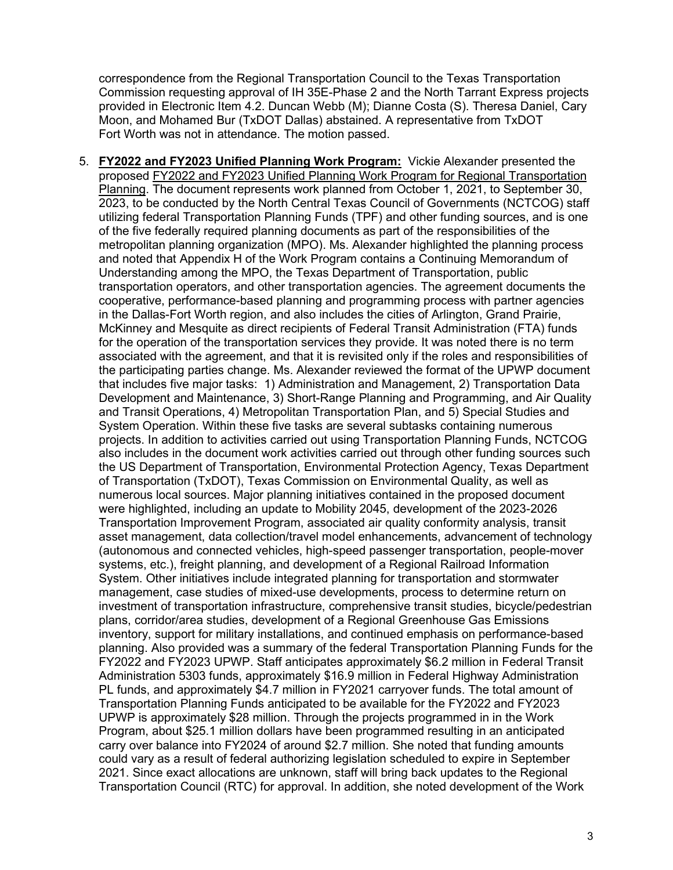correspondence from the Regional Transportation Council to the Texas Transportation Commission requesting approval of IH 35E-Phase 2 and the North Tarrant Express projects provided in Electronic Item 4.2. Duncan Webb (M); Dianne Costa (S). Theresa Daniel, Cary Moon, and Mohamed Bur (TxDOT Dallas) abstained. A representative from TxDOT Fort Worth was not in attendance. The motion passed.

5. **FY2022 and FY2023 Unified Planning Work Program:** Vickie Alexander presented the proposed FY2022 and FY2023 Unified Planning Work Program for Regional Transportation Planning. The document represents work planned from October 1, 2021, to September 30, 2023, to be conducted by the North Central Texas Council of Governments (NCTCOG) staff utilizing federal Transportation Planning Funds (TPF) and other funding sources, and is one of the five federally required planning documents as part of the responsibilities of the metropolitan planning organization (MPO). Ms. Alexander highlighted the planning process and noted that Appendix H of the Work Program contains a Continuing Memorandum of Understanding among the MPO, the Texas Department of Transportation, public transportation operators, and other transportation agencies. The agreement documents the cooperative, performance-based planning and programming process with partner agencies in the Dallas-Fort Worth region, and also includes the cities of Arlington, Grand Prairie, McKinney and Mesquite as direct recipients of Federal Transit Administration (FTA) funds for the operation of the transportation services they provide. It was noted there is no term associated with the agreement, and that it is revisited only if the roles and responsibilities of the participating parties change. Ms. Alexander reviewed the format of the UPWP document that includes five major tasks: 1) Administration and Management, 2) Transportation Data Development and Maintenance, 3) Short-Range Planning and Programming, and Air Quality and Transit Operations, 4) Metropolitan Transportation Plan, and 5) Special Studies and System Operation. Within these five tasks are several subtasks containing numerous projects. In addition to activities carried out using Transportation Planning Funds, NCTCOG also includes in the document work activities carried out through other funding sources such the US Department of Transportation, Environmental Protection Agency, Texas Department of Transportation (TxDOT), Texas Commission on Environmental Quality, as well as numerous local sources. Major planning initiatives contained in the proposed document were highlighted, including an update to Mobility 2045, development of the 2023-2026 Transportation Improvement Program, associated air quality conformity analysis, transit asset management, data collection/travel model enhancements, advancement of technology (autonomous and connected vehicles, high-speed passenger transportation, people-mover systems, etc.), freight planning, and development of a Regional Railroad Information System. Other initiatives include integrated planning for transportation and stormwater management, case studies of mixed-use developments, process to determine return on investment of transportation infrastructure, comprehensive transit studies, bicycle/pedestrian plans, corridor/area studies, development of a Regional Greenhouse Gas Emissions inventory, support for military installations, and continued emphasis on performance-based planning. Also provided was a summary of the federal Transportation Planning Funds for the FY2022 and FY2023 UPWP. Staff anticipates approximately \$6.2 million in Federal Transit Administration 5303 funds, approximately \$16.9 million in Federal Highway Administration PL funds, and approximately \$4.7 million in FY2021 carryover funds. The total amount of Transportation Planning Funds anticipated to be available for the FY2022 and FY2023 UPWP is approximately \$28 million. Through the projects programmed in in the Work Program, about \$25.1 million dollars have been programmed resulting in an anticipated carry over balance into FY2024 of around \$2.7 million. She noted that funding amounts could vary as a result of federal authorizing legislation scheduled to expire in September 2021. Since exact allocations are unknown, staff will bring back updates to the Regional Transportation Council (RTC) for approval. In addition, she noted development of the Work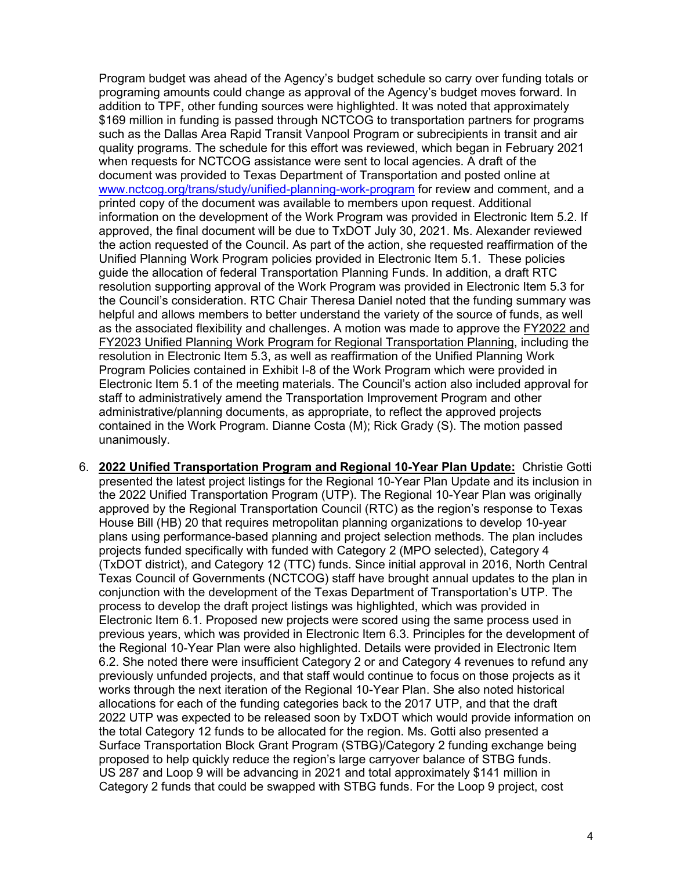Program budget was ahead of the Agency's budget schedule so carry over funding totals or programing amounts could change as approval of the Agency's budget moves forward. In addition to TPF, other funding sources were highlighted. It was noted that approximately \$169 million in funding is passed through NCTCOG to transportation partners for programs such as the Dallas Area Rapid Transit Vanpool Program or subrecipients in transit and air quality programs. The schedule for this effort was reviewed, which began in February 2021 when requests for NCTCOG assistance were sent to local agencies. A draft of the document was provided to Texas Department of Transportation and posted online at [www.nctcog.org/trans/study/unified-planning-work-program](http://www.nctcog.org/trans/study/unified-planning-work-program) for review and comment, and a printed copy of the document was available to members upon request. Additional information on the development of the Work Program was provided in Electronic Item 5.2. If approved, the final document will be due to TxDOT July 30, 2021. Ms. Alexander reviewed the action requested of the Council. As part of the action, she requested reaffirmation of the Unified Planning Work Program policies provided in Electronic Item 5.1. These policies guide the allocation of federal Transportation Planning Funds. In addition, a draft RTC resolution supporting approval of the Work Program was provided in Electronic Item 5.3 for the Council's consideration. RTC Chair Theresa Daniel noted that the funding summary was helpful and allows members to better understand the variety of the source of funds, as well as the associated flexibility and challenges. A motion was made to approve the FY2022 and FY2023 Unified Planning Work Program for Regional Transportation Planning, including the resolution in Electronic Item 5.3, as well as reaffirmation of the Unified Planning Work Program Policies contained in Exhibit I-8 of the Work Program which were provided in Electronic Item 5.1 of the meeting materials. The Council's action also included approval for staff to administratively amend the Transportation Improvement Program and other administrative/planning documents, as appropriate, to reflect the approved projects contained in the Work Program. Dianne Costa (M); Rick Grady (S). The motion passed unanimously.

6. **2022 Unified Transportation Program and Regional 10-Year Plan Update:** Christie Gotti presented the latest project listings for the Regional 10-Year Plan Update and its inclusion in the 2022 Unified Transportation Program (UTP). The Regional 10-Year Plan was originally approved by the Regional Transportation Council (RTC) as the region's response to Texas House Bill (HB) 20 that requires metropolitan planning organizations to develop 10-year plans using performance-based planning and project selection methods. The plan includes projects funded specifically with funded with Category 2 (MPO selected), Category 4 (TxDOT district), and Category 12 (TTC) funds. Since initial approval in 2016, North Central Texas Council of Governments (NCTCOG) staff have brought annual updates to the plan in conjunction with the development of the Texas Department of Transportation's UTP. The process to develop the draft project listings was highlighted, which was provided in Electronic Item 6.1. Proposed new projects were scored using the same process used in previous years, which was provided in Electronic Item 6.3. Principles for the development of the Regional 10-Year Plan were also highlighted. Details were provided in Electronic Item 6.2. She noted there were insufficient Category 2 or and Category 4 revenues to refund any previously unfunded projects, and that staff would continue to focus on those projects as it works through the next iteration of the Regional 10-Year Plan. She also noted historical allocations for each of the funding categories back to the 2017 UTP, and that the draft 2022 UTP was expected to be released soon by TxDOT which would provide information on the total Category 12 funds to be allocated for the region. Ms. Gotti also presented a Surface Transportation Block Grant Program (STBG)/Category 2 funding exchange being proposed to help quickly reduce the region's large carryover balance of STBG funds. US 287 and Loop 9 will be advancing in 2021 and total approximately \$141 million in Category 2 funds that could be swapped with STBG funds. For the Loop 9 project, cost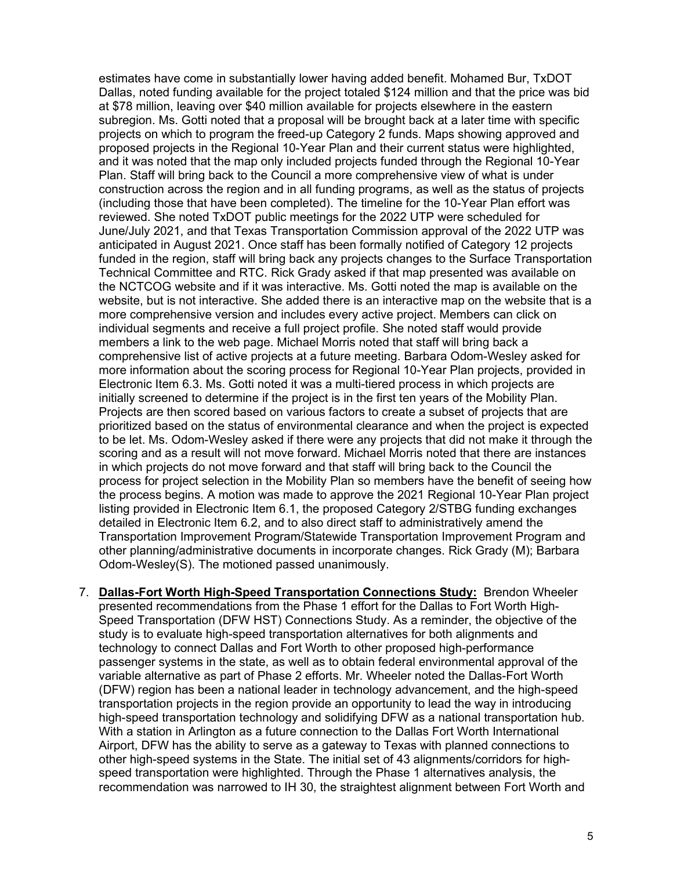estimates have come in substantially lower having added benefit. Mohamed Bur, TxDOT Dallas, noted funding available for the project totaled \$124 million and that the price was bid at \$78 million, leaving over \$40 million available for projects elsewhere in the eastern subregion. Ms. Gotti noted that a proposal will be brought back at a later time with specific projects on which to program the freed-up Category 2 funds. Maps showing approved and proposed projects in the Regional 10-Year Plan and their current status were highlighted, and it was noted that the map only included projects funded through the Regional 10-Year Plan. Staff will bring back to the Council a more comprehensive view of what is under construction across the region and in all funding programs, as well as the status of projects (including those that have been completed). The timeline for the 10-Year Plan effort was reviewed. She noted TxDOT public meetings for the 2022 UTP were scheduled for June/July 2021, and that Texas Transportation Commission approval of the 2022 UTP was anticipated in August 2021. Once staff has been formally notified of Category 12 projects funded in the region, staff will bring back any projects changes to the Surface Transportation Technical Committee and RTC. Rick Grady asked if that map presented was available on the NCTCOG website and if it was interactive. Ms. Gotti noted the map is available on the website, but is not interactive. She added there is an interactive map on the website that is a more comprehensive version and includes every active project. Members can click on individual segments and receive a full project profile. She noted staff would provide members a link to the web page. Michael Morris noted that staff will bring back a comprehensive list of active projects at a future meeting. Barbara Odom-Wesley asked for more information about the scoring process for Regional 10-Year Plan projects, provided in Electronic Item 6.3. Ms. Gotti noted it was a multi-tiered process in which projects are initially screened to determine if the project is in the first ten years of the Mobility Plan. Projects are then scored based on various factors to create a subset of projects that are prioritized based on the status of environmental clearance and when the project is expected to be let. Ms. Odom-Wesley asked if there were any projects that did not make it through the scoring and as a result will not move forward. Michael Morris noted that there are instances in which projects do not move forward and that staff will bring back to the Council the process for project selection in the Mobility Plan so members have the benefit of seeing how the process begins. A motion was made to approve the 2021 Regional 10-Year Plan project listing provided in Electronic Item 6.1, the proposed Category 2/STBG funding exchanges detailed in Electronic Item 6.2, and to also direct staff to administratively amend the Transportation Improvement Program/Statewide Transportation Improvement Program and other planning/administrative documents in incorporate changes. Rick Grady (M); Barbara Odom-Wesley(S). The motioned passed unanimously.

7. **Dallas-Fort Worth High-Speed Transportation Connections Study:** Brendon Wheeler presented recommendations from the Phase 1 effort for the Dallas to Fort Worth High-Speed Transportation (DFW HST) Connections Study. As a reminder, the objective of the study is to evaluate high-speed transportation alternatives for both alignments and technology to connect Dallas and Fort Worth to other proposed high-performance passenger systems in the state, as well as to obtain federal environmental approval of the variable alternative as part of Phase 2 efforts. Mr. Wheeler noted the Dallas-Fort Worth (DFW) region has been a national leader in technology advancement, and the high-speed transportation projects in the region provide an opportunity to lead the way in introducing high-speed transportation technology and solidifying DFW as a national transportation hub. With a station in Arlington as a future connection to the Dallas Fort Worth International Airport, DFW has the ability to serve as a gateway to Texas with planned connections to other high-speed systems in the State. The initial set of 43 alignments/corridors for highspeed transportation were highlighted. Through the Phase 1 alternatives analysis, the recommendation was narrowed to IH 30, the straightest alignment between Fort Worth and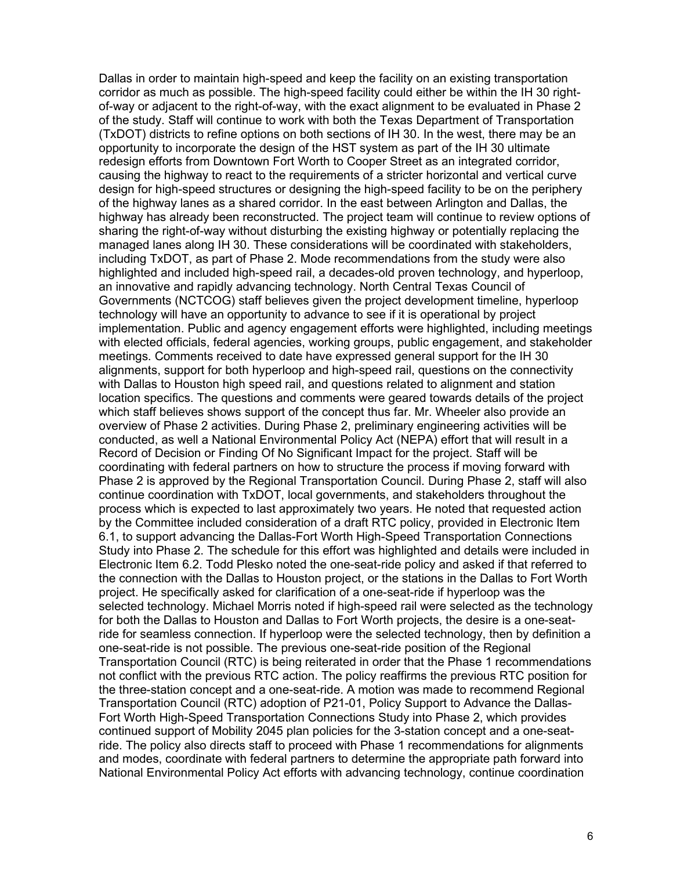Dallas in order to maintain high-speed and keep the facility on an existing transportation corridor as much as possible. The high-speed facility could either be within the IH 30 rightof-way or adjacent to the right-of-way, with the exact alignment to be evaluated in Phase 2 of the study. Staff will continue to work with both the Texas Department of Transportation (TxDOT) districts to refine options on both sections of IH 30. In the west, there may be an opportunity to incorporate the design of the HST system as part of the IH 30 ultimate redesign efforts from Downtown Fort Worth to Cooper Street as an integrated corridor, causing the highway to react to the requirements of a stricter horizontal and vertical curve design for high-speed structures or designing the high-speed facility to be on the periphery of the highway lanes as a shared corridor. In the east between Arlington and Dallas, the highway has already been reconstructed. The project team will continue to review options of sharing the right-of-way without disturbing the existing highway or potentially replacing the managed lanes along IH 30. These considerations will be coordinated with stakeholders, including TxDOT, as part of Phase 2. Mode recommendations from the study were also highlighted and included high-speed rail, a decades-old proven technology, and hyperloop, an innovative and rapidly advancing technology. North Central Texas Council of Governments (NCTCOG) staff believes given the project development timeline, hyperloop technology will have an opportunity to advance to see if it is operational by project implementation. Public and agency engagement efforts were highlighted, including meetings with elected officials, federal agencies, working groups, public engagement, and stakeholder meetings. Comments received to date have expressed general support for the IH 30 alignments, support for both hyperloop and high-speed rail, questions on the connectivity with Dallas to Houston high speed rail, and questions related to alignment and station location specifics. The questions and comments were geared towards details of the project which staff believes shows support of the concept thus far. Mr. Wheeler also provide an overview of Phase 2 activities. During Phase 2, preliminary engineering activities will be conducted, as well a National Environmental Policy Act (NEPA) effort that will result in a Record of Decision or Finding Of No Significant Impact for the project. Staff will be coordinating with federal partners on how to structure the process if moving forward with Phase 2 is approved by the Regional Transportation Council. During Phase 2, staff will also continue coordination with TxDOT, local governments, and stakeholders throughout the process which is expected to last approximately two years. He noted that requested action by the Committee included consideration of a draft RTC policy, provided in Electronic Item 6.1, to support advancing the Dallas-Fort Worth High-Speed Transportation Connections Study into Phase 2. The schedule for this effort was highlighted and details were included in Electronic Item 6.2. Todd Plesko noted the one-seat-ride policy and asked if that referred to the connection with the Dallas to Houston project, or the stations in the Dallas to Fort Worth project. He specifically asked for clarification of a one-seat-ride if hyperloop was the selected technology. Michael Morris noted if high-speed rail were selected as the technology for both the Dallas to Houston and Dallas to Fort Worth projects, the desire is a one-seatride for seamless connection. If hyperloop were the selected technology, then by definition a one-seat-ride is not possible. The previous one-seat-ride position of the Regional Transportation Council (RTC) is being reiterated in order that the Phase 1 recommendations not conflict with the previous RTC action. The policy reaffirms the previous RTC position for the three-station concept and a one-seat-ride. A motion was made to recommend Regional Transportation Council (RTC) adoption of P21-01, Policy Support to Advance the Dallas-Fort Worth High-Speed Transportation Connections Study into Phase 2, which provides continued support of Mobility 2045 plan policies for the 3-station concept and a one-seatride. The policy also directs staff to proceed with Phase 1 recommendations for alignments and modes, coordinate with federal partners to determine the appropriate path forward into National Environmental Policy Act efforts with advancing technology, continue coordination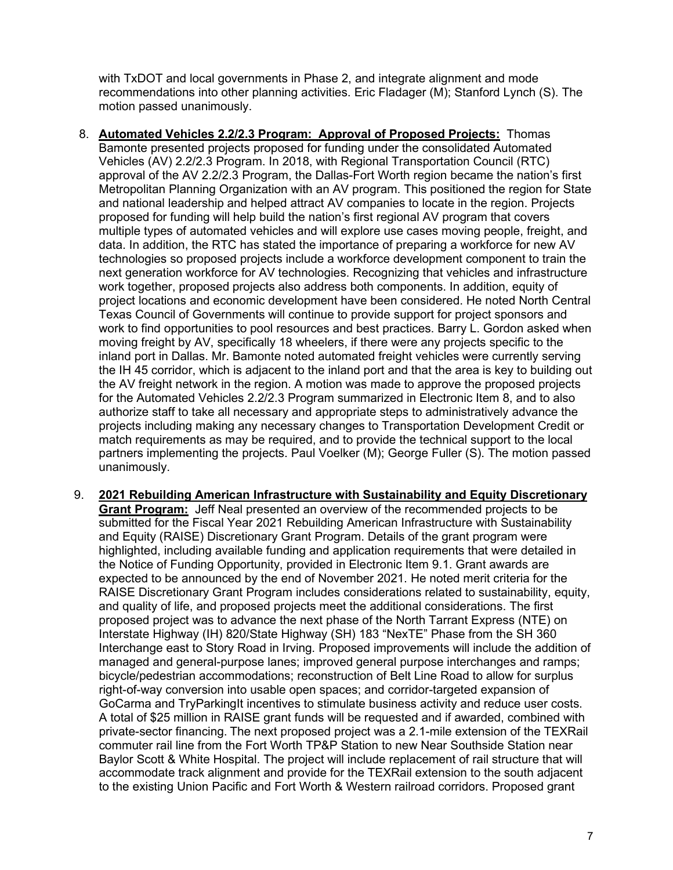with TxDOT and local governments in Phase 2, and integrate alignment and mode recommendations into other planning activities. Eric Fladager (M); Stanford Lynch (S). The motion passed unanimously.

- 8. **Automated Vehicles 2.2/2.3 Program: Approval of Proposed Projects:** Thomas Bamonte presented projects proposed for funding under the consolidated Automated Vehicles (AV) 2.2/2.3 Program. In 2018, with Regional Transportation Council (RTC) approval of the AV 2.2/2.3 Program, the Dallas-Fort Worth region became the nation's first Metropolitan Planning Organization with an AV program. This positioned the region for State and national leadership and helped attract AV companies to locate in the region. Projects proposed for funding will help build the nation's first regional AV program that covers multiple types of automated vehicles and will explore use cases moving people, freight, and data. In addition, the RTC has stated the importance of preparing a workforce for new AV technologies so proposed projects include a workforce development component to train the next generation workforce for AV technologies. Recognizing that vehicles and infrastructure work together, proposed projects also address both components. In addition, equity of project locations and economic development have been considered. He noted North Central Texas Council of Governments will continue to provide support for project sponsors and work to find opportunities to pool resources and best practices. Barry L. Gordon asked when moving freight by AV, specifically 18 wheelers, if there were any projects specific to the inland port in Dallas. Mr. Bamonte noted automated freight vehicles were currently serving the IH 45 corridor, which is adjacent to the inland port and that the area is key to building out the AV freight network in the region. A motion was made to approve the proposed projects for the Automated Vehicles 2.2/2.3 Program summarized in Electronic Item 8, and to also authorize staff to take all necessary and appropriate steps to administratively advance the projects including making any necessary changes to Transportation Development Credit or match requirements as may be required, and to provide the technical support to the local partners implementing the projects. Paul Voelker (M); George Fuller (S). The motion passed unanimously.
- 9. **2021 Rebuilding American Infrastructure with Sustainability and Equity Discretionary Grant Program:** Jeff Neal presented an overview of the recommended projects to be submitted for the Fiscal Year 2021 Rebuilding American Infrastructure with Sustainability and Equity (RAISE) Discretionary Grant Program. Details of the grant program were highlighted, including available funding and application requirements that were detailed in the Notice of Funding Opportunity, provided in Electronic Item 9.1. Grant awards are expected to be announced by the end of November 2021. He noted merit criteria for the RAISE Discretionary Grant Program includes considerations related to sustainability, equity, and quality of life, and proposed projects meet the additional considerations. The first proposed project was to advance the next phase of the North Tarrant Express (NTE) on Interstate Highway (IH) 820/State Highway (SH) 183 "NexTE" Phase from the SH 360 Interchange east to Story Road in Irving. Proposed improvements will include the addition of managed and general-purpose lanes; improved general purpose interchanges and ramps; bicycle/pedestrian accommodations; reconstruction of Belt Line Road to allow for surplus right-of-way conversion into usable open spaces; and corridor-targeted expansion of GoCarma and TryParkingIt incentives to stimulate business activity and reduce user costs. A total of \$25 million in RAISE grant funds will be requested and if awarded, combined with private-sector financing. The next proposed project was a 2.1-mile extension of the TEXRail commuter rail line from the Fort Worth TP&P Station to new Near Southside Station near Baylor Scott & White Hospital. The project will include replacement of rail structure that will accommodate track alignment and provide for the TEXRail extension to the south adjacent to the existing Union Pacific and Fort Worth & Western railroad corridors. Proposed grant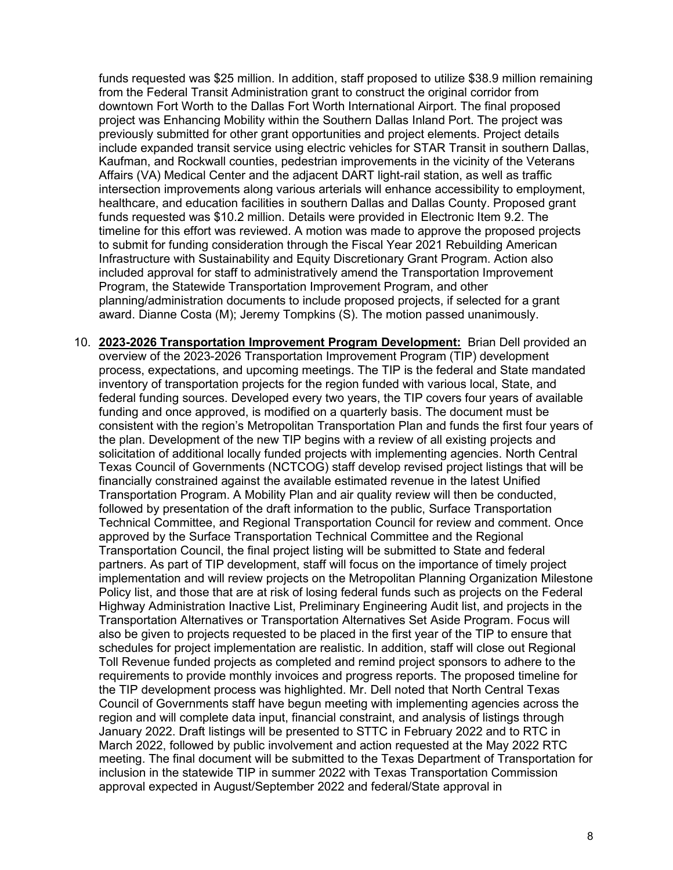funds requested was \$25 million. In addition, staff proposed to utilize \$38.9 million remaining from the Federal Transit Administration grant to construct the original corridor from downtown Fort Worth to the Dallas Fort Worth International Airport. The final proposed project was Enhancing Mobility within the Southern Dallas Inland Port. The project was previously submitted for other grant opportunities and project elements. Project details include expanded transit service using electric vehicles for STAR Transit in southern Dallas, Kaufman, and Rockwall counties, pedestrian improvements in the vicinity of the Veterans Affairs (VA) Medical Center and the adjacent DART light-rail station, as well as traffic intersection improvements along various arterials will enhance accessibility to employment, healthcare, and education facilities in southern Dallas and Dallas County. Proposed grant funds requested was \$10.2 million. Details were provided in Electronic Item 9.2. The timeline for this effort was reviewed. A motion was made to approve the proposed projects to submit for funding consideration through the Fiscal Year 2021 Rebuilding American Infrastructure with Sustainability and Equity Discretionary Grant Program. Action also included approval for staff to administratively amend the Transportation Improvement Program, the Statewide Transportation Improvement Program, and other planning/administration documents to include proposed projects, if selected for a grant award. Dianne Costa (M); Jeremy Tompkins (S). The motion passed unanimously.

10. **2023-2026 Transportation Improvement Program Development:** Brian Dell provided an overview of the 2023-2026 Transportation Improvement Program (TIP) development process, expectations, and upcoming meetings. The TIP is the federal and State mandated inventory of transportation projects for the region funded with various local, State, and federal funding sources. Developed every two years, the TIP covers four years of available funding and once approved, is modified on a quarterly basis. The document must be consistent with the region's Metropolitan Transportation Plan and funds the first four years of the plan. Development of the new TIP begins with a review of all existing projects and solicitation of additional locally funded projects with implementing agencies. North Central Texas Council of Governments (NCTCOG) staff develop revised project listings that will be financially constrained against the available estimated revenue in the latest Unified Transportation Program. A Mobility Plan and air quality review will then be conducted, followed by presentation of the draft information to the public, Surface Transportation Technical Committee, and Regional Transportation Council for review and comment. Once approved by the Surface Transportation Technical Committee and the Regional Transportation Council, the final project listing will be submitted to State and federal partners. As part of TIP development, staff will focus on the importance of timely project implementation and will review projects on the Metropolitan Planning Organization Milestone Policy list, and those that are at risk of losing federal funds such as projects on the Federal Highway Administration Inactive List, Preliminary Engineering Audit list, and projects in the Transportation Alternatives or Transportation Alternatives Set Aside Program. Focus will also be given to projects requested to be placed in the first year of the TIP to ensure that schedules for project implementation are realistic. In addition, staff will close out Regional Toll Revenue funded projects as completed and remind project sponsors to adhere to the requirements to provide monthly invoices and progress reports. The proposed timeline for the TIP development process was highlighted. Mr. Dell noted that North Central Texas Council of Governments staff have begun meeting with implementing agencies across the region and will complete data input, financial constraint, and analysis of listings through January 2022. Draft listings will be presented to STTC in February 2022 and to RTC in March 2022, followed by public involvement and action requested at the May 2022 RTC meeting. The final document will be submitted to the Texas Department of Transportation for inclusion in the statewide TIP in summer 2022 with Texas Transportation Commission approval expected in August/September 2022 and federal/State approval in